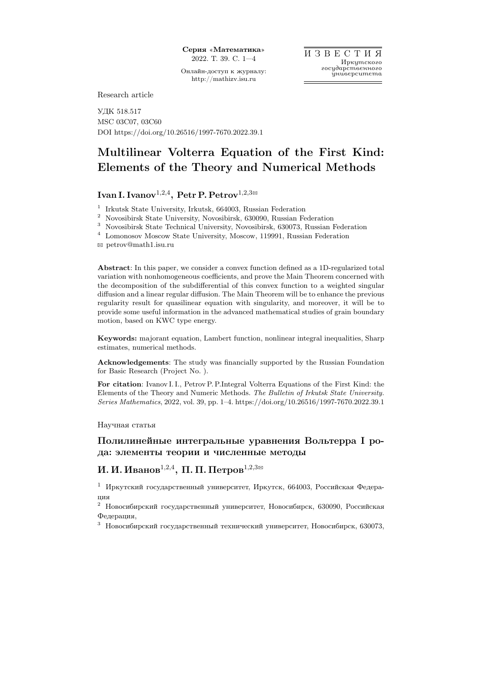Онлайн-доступ к журналу: http://mathizv.isu.ru

Research article

УДК 518.517 MSC 03C07, 03C60 DOI https://doi.org/10.26516/1997-7670.2022.39.1

# Multilinear Volterra Equation of the First Kind: Elements of the Theory and Numerical Methods

## Ivan I. Ivanov $^{1,2,4}, \, {\rm Petr\,P. \, Petrov}^{1,2,3\boxtimes}$

1 Irkutsk State University, Irkutsk, 664003, Russian Federation

<sup>2</sup> Novosibirsk State University, Novosibirsk, 630090, Russian Federation

 $^3\,$  Novosibirsk State Technical University, Novosibirsk, 630073, Russian Federation

 $^4\;$  Lomonosov Moscow State University, Moscow, 119991, Russian Federation

B petrov@math1.isu.ru

Abstract: In this paper, we consider a convex function defined as a 1D-regularized total variation with nonhomogeneous coefficients, and prove the Main Theorem concerned with the decomposition of the subdifferential of this convex function to a weighted singular diffusion and a linear regular diffusion. The Main Theorem will be to enhance the previous regularity result for quasilinear equation with singularity, and moreover, it will be to provide some useful information in the advanced mathematical studies of grain boundary motion, based on KWC type energy.

Keywords: majorant equation, Lambert function, nonlinear integral inequalities, Sharp estimates, numerical methods.

Acknowledgements: The study was financially supported by the Russian Foundation for Basic Research (Project No. ).

For citation: Ivanov I. I., Petrov P. P.Integral Volterra Equations of the First Kind: the Elements of the Theory and Numeric Methods. The Bulletin of Irkutsk State University. Series Mathematics, 2022, vol. 39, pp. 1–4. https://doi.org/10.26516/1997-7670.2022.39.1

Научная статья

### Полилинейные интегральные уравнения Вольтерра I рода: элементы теории и численные методы

## $\bm{M}$ . И. Иванов $^{1,2,4},\ \Pi$ . П. Петров $^{1,2,3}$ ¤

<sup>1</sup> Иркутский государственный университет, Иркутск, 664003, Российская Федерация

<sup>2</sup> Новосибирский государственный университет, Новосибирск, 630090, Российская Федерация,

<sup>3</sup> Новосибирский государственный технический университет, Новосибирск, 630073,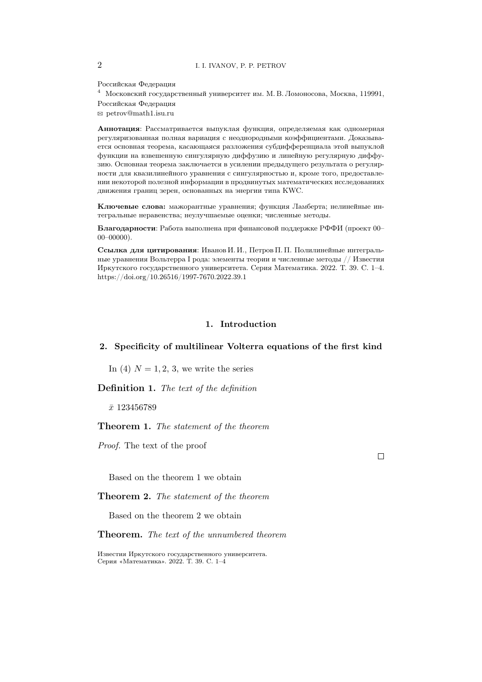Российская Федерация

 $^4$ Московский государственный университет им. М. В. Ломоносова, Москва, 119991, Российская Федерация

 $\otimes$  petrov@math1.isu.ru

Аннотация: Рассматривается выпуклая функция, определяемая как одномерная регуляризованная полная вариация с неоднородными коэффициентами. Доказывается основная теорема, касающаяся разложения субдифференциала этой выпуклой функции на взвешенную сингулярную диффузию и линейную регулярную диффузию. Основная теорема заключается в усилении предыдущего результата о регулярности для квазилинейного уравнения с сингулярностью и, кроме того, предоставлении некоторой полезной информации в продвинутых математических исследованиях движения границ зерен, основанных на энергии типа KWC.

Ключевые слова: мажорантные уравнения; функция Ламберта; нелинейные интегральные неравенства; неулучшаемые оценки; численные методы.

Благодарности: Работа выполнена при финансовой поддержке РФФИ (проект 00- $00 - 00000$ ).

Ссылка для цитирования: Иванов И. И., Петров П. П. Полилинейные интегральные уравнения Вольтерра I рода: элементы теории и численные методы // Известия Иркутского государственного университета. Серия Математика. 2022. Т. 39. С. 1-4. https://doi.org/10.26516/1997-7670.2022.39.1

#### 1. Introduction

#### 2. Specificity of multilinear Volterra equations of the first kind

In (4)  $N = 1, 2, 3$ , we write the series

**Definition 1.** The text of the definition

 $\bar{x}$  123456789

#### **Theorem 1.** The statement of the theorem

*Proof.* The text of the proof

Based on the theorem 1 we obtain

**Theorem 2.** The statement of the theorem

Based on the theorem 2 we obtain

**Theorem.** The text of the unnumbered theorem

 $\Box$ 

 $\overline{2}$ 

Известия Иркутского государственного университета. Серия «Математика». 2022. Т. 39. С. 1-4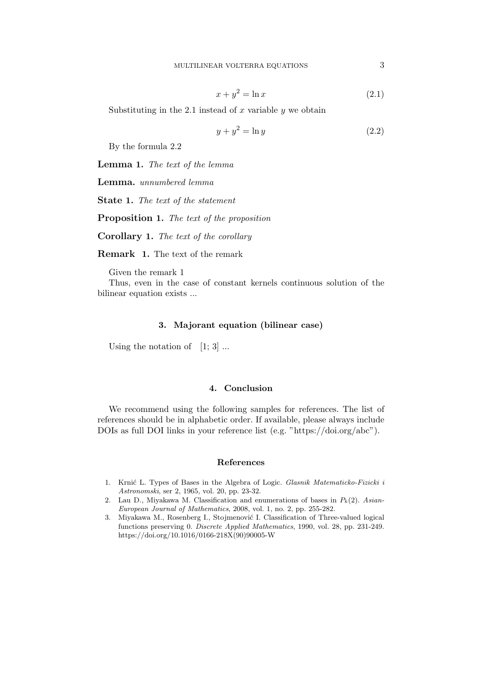$$
x + y^2 = \ln x \tag{2.1}
$$

Substituting in the 2.1 instead of  $x$  variable  $y$  we obtain

$$
y + y^2 = \ln y \tag{2.2}
$$

By the formula 2.2

Lemma 1. The text of the lemma

Lemma. unnumbered lemma

State 1. The text of the statement

Proposition 1. The text of the proposition

Corollary 1. The text of the corollary

Remark 1. The text of the remark

Given the remark 1

Thus, even in the case of constant kernels continuous solution of the bilinear equation exists ...

#### 3. Majorant equation (bilinear case)

Using the notation of  $[1; 3]$ ...

#### 4. Conclusion

We recommend using the following samples for references. The list of references should be in alphabetic order. If available, please always include DOIs as full DOI links in your reference list (e.g. "https://doi.org/abc").

#### References

- 1. Krnić L. Types of Bases in the Algebra of Logic. Glasnik Matematicko-Fizicki i Astronomski, ser 2, 1965, vol. 20, pp. 23-32.
- 2. Lau D., Miyakawa M. Classification and enumerations of bases in  $P_k(2)$ . Asian-European Journal of Mathematics, 2008, vol. 1, no. 2, pp. 255-282.
- 3. Miyakawa M., Rosenberg I., Stojmenović I. Classification of Three-valued logical functions preserving 0. Discrete Applied Mathematics, 1990, vol. 28, pp. 231-249. https://doi.org/10.1016/0166-218X(90)90005-W